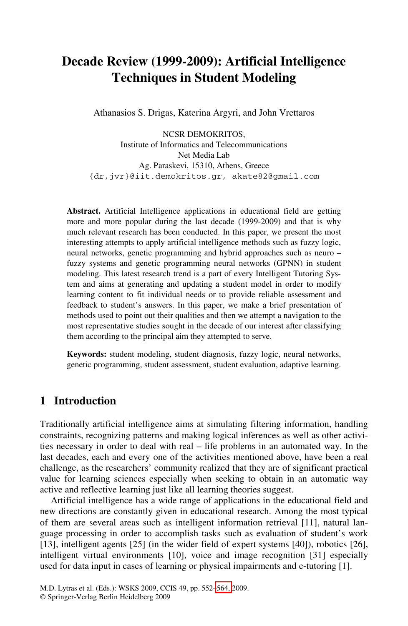# **Decade Review (1999-2009): Artificial Intelligence Techniques in Student Modeling**

Athanasios S. Drigas, Katerina Argyri, and John Vrettaros

NCSR DEMOKRITOS, Institute of Informatics and Telecommunications Net Media Lab Ag. Paraskevi, 15310, Athens, Greece {dr,jvr}@iit.demokritos.gr, akate82@gmail.com

**Abstract.** Artificial Intelligence applications in educational field are getting more and more popular during the last decade (1999-2009) and that is why much relevant research has been conducted. In this paper, we present the most interesting attempts to apply artificial intelligence methods such as fuzzy logic, neural networks, genetic programming and hybrid approaches such as neuro – fuzzy systems and genetic programming neural networks (GPNN) in student modeling. This latest research trend is a part of every Intelligent Tutoring System and aims at generating and updating a student model in order to modify learning content to fit individual needs or to provide reliable assessment and feedback to student's answers. In this paper, we make a brief presentation of methods used to point out their qualities and then we attempt a navigation to the most representative studies sought in the decade of our interest after classifying them according to the principal aim they attempted to serve.

**Keywords:** student modeling, student diagnosis, fuzzy logic, neural networks, genetic programming, student assessment, student evaluation, adaptive learning.

## **1 Introduction**

Traditionally artificial intelligence aims at simulating filtering information, handling constraints, recognizing patterns and making logical inferences as well as other activities necessary in order to deal with real – life problems in an automated way. In the last decades, each and every one of the activities mentioned above, have been a real challenge, as the researchers' community realized that they are of significant practical value for learning sciences especially when seeking to obtain in an automatic way active and reflective learning just like all learning theories suggest.

Artificial intelligence [has a](#page-12-0) wide range of applications in the educational field and new directions are constantly given in educational research. Among the most typical of them are several areas such as intelligent information retrieval [11], natural language processing in order to accomplish tasks such as evaluation of student's work [13], intelligent agents [25] (in the wider field of expert systems [40]), robotics [26], intelligent virtual environments [10], voice and image recognition [31] especially used for data input in cases of learning or physical impairments and e-tutoring [1].

M.D. Lytras et al. (Eds.): WSKS 2009, CCIS 49, pp. 552–564, 2009.

<sup>©</sup> Springer-Verlag Berlin Heidelberg 2009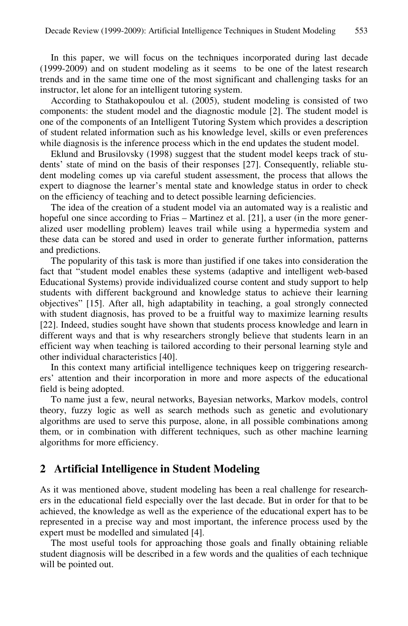In this paper, we will focus on the techniques incorporated during last decade (1999-2009) and on student modeling as it seems to be one of the latest research trends and in the same time one of the most significant and challenging tasks for an instructor, let alone for an intelligent tutoring system.

According to Stathakopoulou et al. (2005), student modeling is consisted of two components: the student model and the diagnostic module [2]. The student model is one of the components of an Intelligent Tutoring System which provides a description of student related information such as his knowledge level, skills or even preferences while diagnosis is the inference process which in the end updates the student model.

Eklund and Brusilovsky (1998) suggest that the student model keeps track of students' state of mind on the basis of their responses [27]. Consequently, reliable student modeling comes up via careful student assessment, the process that allows the expert to diagnose the learner's mental state and knowledge status in order to check on the efficiency of teaching and to detect possible learning deficiencies.

The idea of the creation of a student model via an automated way is a realistic and hopeful one since according to Frias – Martinez et al. [21], a user (in the more generalized user modelling problem) leaves trail while using a hypermedia system and these data can be stored and used in order to generate further information, patterns and predictions.

The popularity of this task is more than justified if one takes into consideration the fact that "student model enables these systems (adaptive and intelligent web-based Educational Systems) provide individualized course content and study support to help students with different background and knowledge status to achieve their learning objectives" [15]. After all, high adaptability in teaching, a goal strongly connected with student diagnosis, has proved to be a fruitful way to maximize learning results [22]. Indeed, studies sought have shown that students process knowledge and learn in different ways and that is why researchers strongly believe that students learn in an efficient way when teaching is tailored according to their personal learning style and other individual characteristics [40].

In this context many artificial intelligence techniques keep on triggering researchers' attention and their incorporation in more and more aspects of the educational field is being adopted.

To name just a few, neural networks, Bayesian networks, Markov models, control theory, fuzzy logic as well as search methods such as genetic and evolutionary algorithms are used to serve this purpose, alone, in all possible combinations among them, or in combination with different techniques, such as other machine learning algorithms for more efficiency.

### **2 Artificial Intelligence in Student Modeling**

As it was mentioned above, student modeling has been a real challenge for researchers in the educational field especially over the last decade. But in order for that to be achieved, the knowledge as well as the experience of the educational expert has to be represented in a precise way and most important, the inference process used by the expert must be modelled and simulated [4].

The most useful tools for approaching those goals and finally obtaining reliable student diagnosis will be described in a few words and the qualities of each technique will be pointed out.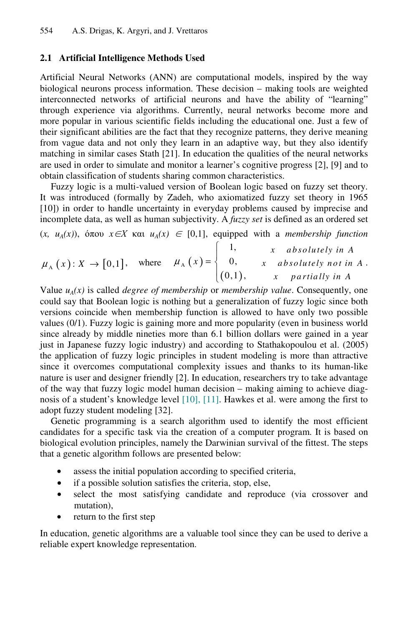#### **2.1 Artificial Intelligence Methods Used**

Artificial Neural Networks (ANN) are computational models, inspired by the way biological neurons process information. These decision – making tools are weighted interconnected networks of artificial neurons and have the ability of "learning" through experience via algorithms. Currently, neural networks become more and more popular in various scientific fields including the educational one. Just a few of their significant abilities are the fact that they recognize patterns, they derive meaning from vague data and not only they learn in an adaptive way, but they also identify matching in similar cases Stath [21]. In education the qualities of the neural networks are used in order to simulate and monitor a learner's cognitive progress [2], [9] and to obtain classification of students sharing common characteristics.

Fuzzy logic is a multi-valued version of Boolean logic based on fuzzy set theory. It was introduced (formally by Zadeh, who axiomatized fuzzy set theory in 1965 [10]) in order to handle uncertainty in everyday problems caused by imprecise and incomplete data, as well as human subjectivity. A *fuzzy set* is defined as an ordered set

$$
(x, u_A(x)), \text{ for all } x \in X \text{ for all } u_A(x) \in [0,1], \text{ equipped with a membership function}
$$
\n
$$
\mu_A(x): X \to [0,1], \text{ where } \mu_A(x) = \begin{cases} 1, & x \text{ absolutely in } A \\ 0, & x \text{ absolutely not in } A \\ (0,1), & x \text{ partially in } A \end{cases}
$$

Value  $u_A(x)$  is called *degree of membership* or *membership value*. Consequently, one could say that Boolean logic is nothing but a generalization of fuzzy logic since both versions coincide when membership function is allowed to have only two possible values (0/1). Fuzzy logic is gaining more and more popularity (even in business world since already by middle nineties more than 6.1 billion dollars were gained in a year just in Japanese fuzzy logic industry) and according to Stathakopoulou et al. (2005) the application of fuzzy logic principles in student modeling is more than attractive since it overcomes computational complexity issues and thanks to its human-like nature is user and designer friendly [2]. In education, researchers try to take advantage of the way that fuzzy logic model human decision – making aiming to achieve diagnosis of a student's knowledge level [10], [11]. Hawkes et al. were among the first to adopt fuzzy student modeling [32].

Genetic programming is a search algorithm used to identify the most efficient candidates for a specific task via the creation of a computer program. It is based on biological evolution principles, namely the Darwinian survival of the fittest. The steps that a genetic algorithm follows are presented below:

- assess the initial population according to specified criteria,
- if a possible solution satisfies the criteria, stop, else,
- select the most satisfying candidate and reproduce (via crossover and mutation),
- return to the first step

In education, genetic algorithms are a valuable tool since they can be used to derive a reliable expert knowledge representation.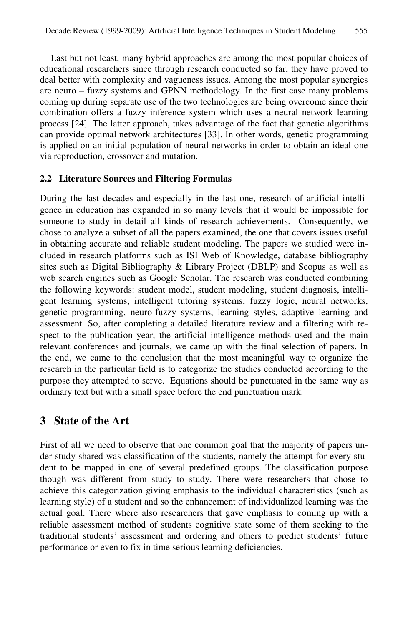Last but not least, many hybrid approaches are among the most popular choices of educational researchers since through research conducted so far, they have proved to deal better with complexity and vagueness issues. Among the most popular synergies are neuro – fuzzy systems and GPNN methodology. In the first case many problems coming up during separate use of the two technologies are being overcome since their combination offers a fuzzy inference system which uses a neural network learning process [24]. The latter approach, takes advantage of the fact that genetic algorithms can provide optimal network architectures [33]. In other words, genetic programming is applied on an initial population of neural networks in order to obtain an ideal one via reproduction, crossover and mutation.

#### **2.2 Literature Sources and Filtering Formulas**

During the last decades and especially in the last one, research of artificial intelligence in education has expanded in so many levels that it would be impossible for someone to study in detail all kinds of research achievements. Consequently, we chose to analyze a subset of all the papers examined, the one that covers issues useful in obtaining accurate and reliable student modeling. The papers we studied were included in research platforms such as ISI Web of Knowledge, database bibliography sites such as Digital Bibliography & Library Project (DBLP) and Scopus as well as web search engines such as Google Scholar. The research was conducted combining the following keywords: student model, student modeling, student diagnosis, intelligent learning systems, intelligent tutoring systems, fuzzy logic, neural networks, genetic programming, neuro-fuzzy systems, learning styles, adaptive learning and assessment. So, after completing a detailed literature review and a filtering with respect to the publication year, the artificial intelligence methods used and the main relevant conferences and journals, we came up with the final selection of papers. In the end, we came to the conclusion that the most meaningful way to organize the research in the particular field is to categorize the studies conducted according to the purpose they attempted to serve. Equations should be punctuated in the same way as ordinary text but with a small space before the end punctuation mark.

## **3 State of the Art**

First of all we need to observe that one common goal that the majority of papers under study shared was classification of the students, namely the attempt for every student to be mapped in one of several predefined groups. The classification purpose though was different from study to study. There were researchers that chose to achieve this categorization giving emphasis to the individual characteristics (such as learning style) of a student and so the enhancement of individualized learning was the actual goal. There where also researchers that gave emphasis to coming up with a reliable assessment method of students cognitive state some of them seeking to the traditional students' assessment and ordering and others to predict students' future performance or even to fix in time serious learning deficiencies.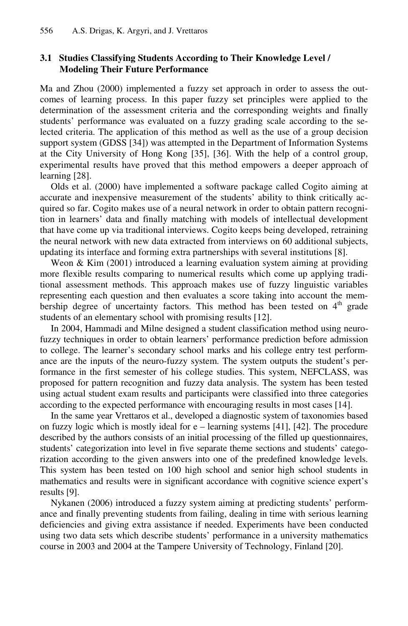#### **3.1 Studies Classifying Students According to Their Knowledge Level / Modeling Their Future Performance**

Ma and Zhou (2000) implemented a fuzzy set approach in order to assess the outcomes of learning process. In this paper fuzzy set principles were applied to the determination of the assessment criteria and the corresponding weights and finally students' performance was evaluated on a fuzzy grading scale according to the selected criteria. The application of this method as well as the use of a group decision support system (GDSS [34]) was attempted in the Department of Information Systems at the City University of Hong Kong [35], [36]. With the help of a control group, experimental results have proved that this method empowers a deeper approach of learning [28].

Olds et al. (2000) have implemented a software package called Cogito aiming at accurate and inexpensive measurement of the students' ability to think critically acquired so far. Cogito makes use of a neural network in order to obtain pattern recognition in learners' data and finally matching with models of intellectual development that have come up via traditional interviews. Cogito keeps being developed, retraining the neural network with new data extracted from interviews on 60 additional subjects, updating its interface and forming extra partnerships with several institutions [8].

Weon & Kim (2001) introduced a learning evaluation system aiming at providing more flexible results comparing to numerical results which come up applying traditional assessment methods. This approach makes use of fuzzy linguistic variables representing each question and then evaluates a score taking into account the membership degree of uncertainty factors. This method has been tested on  $4<sup>th</sup>$  grade students of an elementary school with promising results [12].

In 2004, Hammadi and Milne designed a student classification method using neurofuzzy techniques in order to obtain learners' performance prediction before admission to college. The learner's secondary school marks and his college entry test performance are the inputs of the neuro-fuzzy system. The system outputs the student's performance in the first semester of his college studies. This system, NEFCLASS, was proposed for pattern recognition and fuzzy data analysis. The system has been tested using actual student exam results and participants were classified into three categories according to the expected performance with encouraging results in most cases [14].

In the same year Vrettaros et al., developed a diagnostic system of taxonomies based on fuzzy logic which is mostly ideal for  $e$  – learning systems [41], [42]. The procedure described by the authors consists of an initial processing of the filled up questionnaires, students' categorization into level in five separate theme sections and students' categorization according to the given answers into one of the predefined knowledge levels. This system has been tested on 100 high school and senior high school students in mathematics and results were in significant accordance with cognitive science expert's results [9].

Nykanen (2006) introduced a fuzzy system aiming at predicting students' performance and finally preventing students from failing, dealing in time with serious learning deficiencies and giving extra assistance if needed. Experiments have been conducted using two data sets which describe students' performance in a university mathematics course in 2003 and 2004 at the Tampere University of Technology, Finland [20].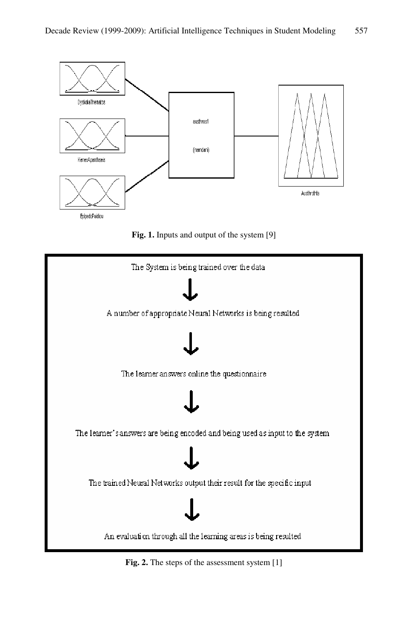

**Fig. 1.** Inputs and output of the system [9]



**Fig. 2.** The steps of the assessment system [1]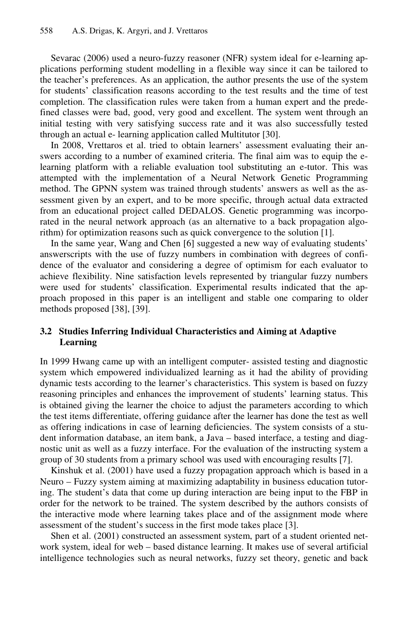Sevarac (2006) used a neuro-fuzzy reasoner (NFR) system ideal for e-learning applications performing student modelling in a flexible way since it can be tailored to the teacher's preferences. As an application, the author presents the use of the system for students' classification reasons according to the test results and the time of test completion. The classification rules were taken from a human expert and the predefined classes were bad, good, very good and excellent. The system went through an initial testing with very satisfying success rate and it was also successfully tested through an actual e- learning application called Multitutor [30].

In 2008, Vrettaros et al. tried to obtain learners' assessment evaluating their answers according to a number of examined criteria. The final aim was to equip the elearning platform with a reliable evaluation tool substituting an e-tutor. This was attempted with the implementation of a Neural Network Genetic Programming method. The GPNN system was trained through students' answers as well as the assessment given by an expert, and to be more specific, through actual data extracted from an educational project called DEDALOS. Genetic programming was incorporated in the neural network approach (as an alternative to a back propagation algorithm) for optimization reasons such as quick convergence to the solution [1].

In the same year, Wang and Chen [6] suggested a new way of evaluating students' answerscripts with the use of fuzzy numbers in combination with degrees of confidence of the evaluator and considering a degree of optimism for each evaluator to achieve flexibility. Nine satisfaction levels represented by triangular fuzzy numbers were used for students' classification. Experimental results indicated that the approach proposed in this paper is an intelligent and stable one comparing to older methods proposed [38], [39].

#### **3.2 Studies Inferring Individual Characteristics and Aiming at Adaptive Learning**

In 1999 Hwang came up with an intelligent computer- assisted testing and diagnostic system which empowered individualized learning as it had the ability of providing dynamic tests according to the learner's characteristics. This system is based on fuzzy reasoning principles and enhances the improvement of students' learning status. This is obtained giving the learner the choice to adjust the parameters according to which the test items differentiate, offering guidance after the learner has done the test as well as offering indications in case of learning deficiencies. The system consists of a student information database, an item bank, a Java – based interface, a testing and diagnostic unit as well as a fuzzy interface. For the evaluation of the instructing system a group of 30 students from a primary school was used with encouraging results [7].

Kinshuk et al. (2001) have used a fuzzy propagation approach which is based in a Neuro – Fuzzy system aiming at maximizing adaptability in business education tutoring. The student's data that come up during interaction are being input to the FBP in order for the network to be trained. The system described by the authors consists of the interactive mode where learning takes place and of the assignment mode where assessment of the student's success in the first mode takes place [3].

Shen et al. (2001) constructed an assessment system, part of a student oriented network system, ideal for web – based distance learning. It makes use of several artificial intelligence technologies such as neural networks, fuzzy set theory, genetic and back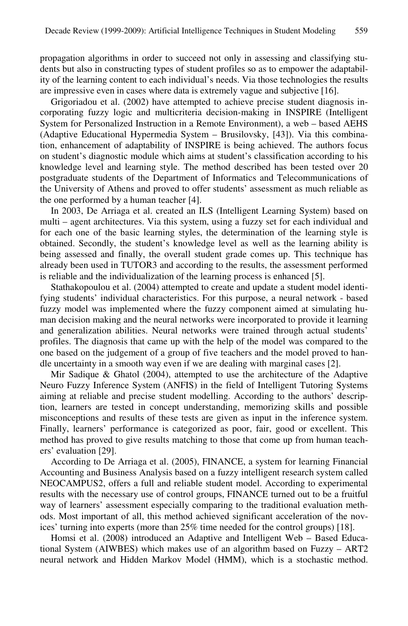propagation algorithms in order to succeed not only in assessing and classifying students but also in constructing types of student profiles so as to empower the adaptability of the learning content to each individual's needs. Via those technologies the results are impressive even in cases where data is extremely vague and subjective [16].

Grigoriadou et al. (2002) have attempted to achieve precise student diagnosis incorporating fuzzy logic and multicriteria decision-making in INSPIRE (Intelligent System for Personalized Instruction in a Remote Environment), a web – based AEHS (Adaptive Educational Hypermedia System – Brusilovsky, [43]). Via this combination, enhancement of adaptability of INSPIRE is being achieved. The authors focus on student's diagnostic module which aims at student's classification according to his knowledge level and learning style. The method described has been tested over 20 postgraduate students of the Department of Informatics and Telecommunications of the University of Athens and proved to offer students' assessment as much reliable as the one performed by a human teacher [4].

In 2003, De Arriaga et al. created an ILS (Intelligent Learning System) based on multi – agent architectures. Via this system, using a fuzzy set for each individual and for each one of the basic learning styles, the determination of the learning style is obtained. Secondly, the student's knowledge level as well as the learning ability is being assessed and finally, the overall student grade comes up. This technique has already been used in TUTOR3 and according to the results, the assessment performed is reliable and the individualization of the learning process is enhanced [5].

Stathakopoulou et al. (2004) attempted to create and update a student model identifying students' individual characteristics. For this purpose, a neural network - based fuzzy model was implemented where the fuzzy component aimed at simulating human decision making and the neural networks were incorporated to provide it learning and generalization abilities. Neural networks were trained through actual students' profiles. The diagnosis that came up with the help of the model was compared to the one based on the judgement of a group of five teachers and the model proved to handle uncertainty in a smooth way even if we are dealing with marginal cases [2].

Mir Sadique & Ghatol (2004), attempted to use the architecture of the Adaptive Neuro Fuzzy Inference System (ANFIS) in the field of Intelligent Tutoring Systems aiming at reliable and precise student modelling. According to the authors' description, learners are tested in concept understanding, memorizing skills and possible misconceptions and results of these tests are given as input in the inference system. Finally, learners' performance is categorized as poor, fair, good or excellent. This method has proved to give results matching to those that come up from human teachers' evaluation [29].

According to De Arriaga et al. (2005), FINANCE, a system for learning Financial Accounting and Business Analysis based on a fuzzy intelligent research system called NEOCAMPUS2, offers a full and reliable student model. According to experimental results with the necessary use of control groups, FINANCE turned out to be a fruitful way of learners' assessment especially comparing to the traditional evaluation methods. Most important of all, this method achieved significant acceleration of the novices' turning into experts (more than 25% time needed for the control groups) [18].

Homsi et al. (2008) introduced an Adaptive and Intelligent Web – Based Educational System (AIWBES) which makes use of an algorithm based on Fuzzy – ART2 neural network and Hidden Markov Model (HMM), which is a stochastic method.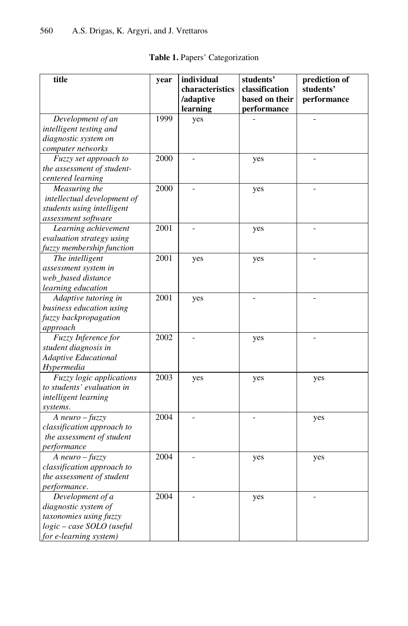| title                                                   | year | individual<br>students'<br>classification<br>characteristics<br>/adaptive<br>based on their |             | prediction of<br>students'<br>performance |
|---------------------------------------------------------|------|---------------------------------------------------------------------------------------------|-------------|-------------------------------------------|
|                                                         |      | learning                                                                                    | performance |                                           |
| Development of an                                       | 1999 | yes                                                                                         |             |                                           |
| intelligent testing and                                 |      |                                                                                             |             |                                           |
| diagnostic system on                                    |      |                                                                                             |             |                                           |
| computer networks                                       |      |                                                                                             |             |                                           |
| Fuzzy set approach to                                   | 2000 |                                                                                             | yes         |                                           |
| the assessment of student-                              |      |                                                                                             |             |                                           |
| centered learning                                       |      |                                                                                             |             |                                           |
| Measuring the                                           | 2000 |                                                                                             | yes         |                                           |
| intellectual development of                             |      |                                                                                             |             |                                           |
| students using intelligent                              |      |                                                                                             |             |                                           |
| assessment software                                     |      |                                                                                             |             |                                           |
| Learning achievement                                    | 2001 | $\overline{a}$                                                                              | yes         |                                           |
| evaluation strategy using                               |      |                                                                                             |             |                                           |
| fuzzy membership function                               |      |                                                                                             |             |                                           |
| The intelligent                                         | 2001 | yes                                                                                         | yes         |                                           |
| assessment system in                                    |      |                                                                                             |             |                                           |
| web_based distance                                      |      |                                                                                             |             |                                           |
| <i>learning education</i>                               |      |                                                                                             |             |                                           |
| Adaptive tutoring in                                    | 2001 | yes                                                                                         |             |                                           |
| business education using                                |      |                                                                                             |             |                                           |
| fuzzy backpropagation                                   |      |                                                                                             |             |                                           |
| approach                                                |      |                                                                                             |             |                                           |
| Fuzzy Inference for                                     | 2002 |                                                                                             | yes         |                                           |
| student diagnosis in                                    |      |                                                                                             |             |                                           |
| <b>Adaptive Educational</b>                             |      |                                                                                             |             |                                           |
| Hypermedia                                              |      |                                                                                             |             |                                           |
| <b>Fuzzy</b> logic applications                         | 2003 | yes                                                                                         | yes         | yes                                       |
| to students' evaluation in                              |      |                                                                                             |             |                                           |
| intelligent learning                                    |      |                                                                                             |             |                                           |
| systems.                                                |      |                                                                                             |             |                                           |
| A neuro-fuzzy                                           | 2004 |                                                                                             |             | yes                                       |
| classification approach to<br>the assessment of student |      |                                                                                             |             |                                           |
|                                                         |      |                                                                                             |             |                                           |
| performance<br>$A$ neuro $-fuzzy$                       | 2004 |                                                                                             |             |                                           |
| classification approach to                              |      |                                                                                             | yes         | yes                                       |
| the assessment of student                               |      |                                                                                             |             |                                           |
| performance.                                            |      |                                                                                             |             |                                           |
| Development of a                                        | 2004 |                                                                                             | yes         |                                           |
| diagnostic system of                                    |      |                                                                                             |             |                                           |
| taxonomies using fuzzy                                  |      |                                                                                             |             |                                           |
| logic - case SOLO (useful                               |      |                                                                                             |             |                                           |
| for e-learning system)                                  |      |                                                                                             |             |                                           |

|  |  | <b>Table 1.</b> Papers' Categorization |
|--|--|----------------------------------------|
|--|--|----------------------------------------|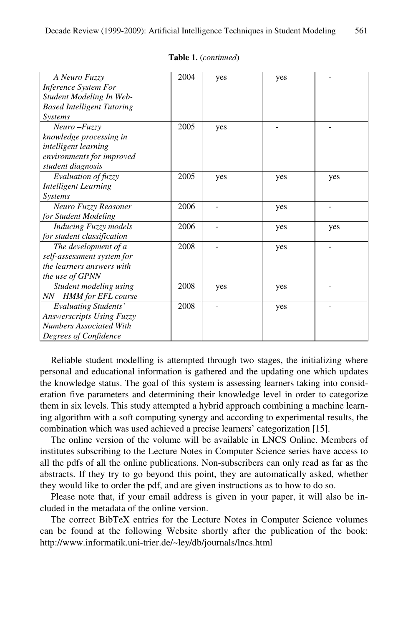| A Neuro Fuzzy                     | 2004 | yes | yes |     |
|-----------------------------------|------|-----|-----|-----|
| <b>Inference System For</b>       |      |     |     |     |
| Student Modeling In Web-          |      |     |     |     |
| <b>Based Intelligent Tutoring</b> |      |     |     |     |
| <b>Systems</b>                    |      |     |     |     |
| $Neuro$ - $Fuzzy$                 | 2005 | yes |     |     |
| knowledge processing in           |      |     |     |     |
| intelligent learning              |      |     |     |     |
| environments for improved         |      |     |     |     |
| student diagnosis                 |      |     |     |     |
| Evaluation of fuzzy               | 2005 | yes | yes | yes |
| <b>Intelligent Learning</b>       |      |     |     |     |
| <b>Systems</b>                    |      |     |     |     |
| Neuro Fuzzy Reasoner              | 2006 |     | yes |     |
| for Student Modeling              |      |     |     |     |
| Inducing Fuzzy models             | 2006 |     | yes | yes |
| for student classification        |      |     |     |     |
| The development of a              | 2008 |     | yes |     |
| self-assessment system for        |      |     |     |     |
| the learners answers with         |      |     |     |     |
| the use of GPNN                   |      |     |     |     |
| Student modeling using            | 2008 | yes | yes |     |
| NN – HMM for EFL course           |      |     |     |     |
| Evaluating Students'              | 2008 |     | yes |     |
| Answerscripts Using Fuzzy         |      |     |     |     |
| <b>Numbers Associated With</b>    |      |     |     |     |
| Degrees of Confidence             |      |     |     |     |

#### **Table 1.** (*continued*)

Reliable student modelling is attempted through two stages, the initializing where personal and educational information is gathered and the updating one which updates the knowledge status. The goal of this system is assessing learners taking into consideration five parameters and determining their knowledge level in order to categorize them in six levels. This study attempted a hybrid approach combining a machine learning algorithm with a soft computing synergy and according to experimental results, the combination which was used achieved a precise learners' categorization [15].

The online version of the volume will be available in LNCS Online. Members of institutes subscribing to the Lecture Notes in Computer Science series have access to all the pdfs of all the online publications. Non-subscribers can only read as far as the abstracts. If they try to go beyond this point, they are automatically asked, whether they would like to order the pdf, and are given instructions as to how to do so.

Please note that, if your email address is given in your paper, it will also be included in the metadata of the online version.

The correct BibTeX entries for the Lecture Notes in Computer Science volumes can be found at the following Website shortly after the publication of the book: http://www.informatik.uni-trier.de/~ley/db/journals/lncs.html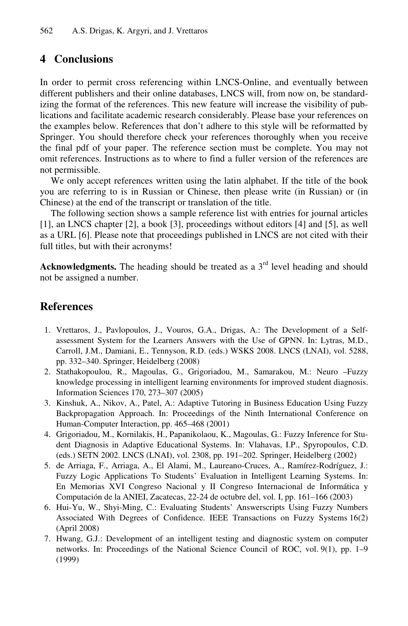## **4 Conclusions**

In order to permit cross referencing within LNCS-Online, and eventually between different publishers and their online databases, LNCS will, from now on, be standardizing the format of the references. This new feature will increase the visibility of publications and facilitate academic research considerably. Please base your references on the examples below. References that don't adhere to this style will be reformatted by Springer. You should therefore check your references thoroughly when you receive the final pdf of your paper. The reference section must be complete. You may not omit references. Instructions as to where to find a fuller version of the references are not permissible.

We only accept references written using the latin alphabet. If the title of the book you are referring to is in Russian or Chinese, then please write (in Russian) or (in Chinese) at the end of the transcript or translation of the title.

The following section shows a sample reference list with entries for journal articles [1], an LNCS chapter [2], a book [3], proceedings without editors [4] and [5], as well as a URL [6]. Please note that proceedings published in LNCS are not cited with their full titles, but with their acronyms!

**Acknowledgments.** The heading should be treated as a  $3<sup>rd</sup>$  level heading and should not be assigned a number.

## **References**

- 1. Vrettaros, J., Pavlopoulos, J., Vouros, G.A., Drigas, A.: The Development of a Selfassessment System for the Learners Answers with the Use of GPNN. In: Lytras, M.D., Carroll, J.M., Damiani, E., Tennyson, R.D. (eds.) WSKS 2008. LNCS (LNAI), vol. 5288, pp. 332–340. Springer, Heidelberg (2008)
- 2. Stathakopoulou, R., Magoulas, G., Grigoriadou, M., Samarakou, M.: Neuro –Fuzzy knowledge processing in intelligent learning environments for improved student diagnosis. Information Sciences 170, 273–307 (2005)
- 3. Kinshuk, A., Nikov, A., Patel, A.: Adaptive Tutoring in Business Education Using Fuzzy Backpropagation Approach. In: Proceedings of the Ninth International Conference on Human-Computer Interaction, pp. 465–468 (2001)
- 4. Grigoriadou, M., Kornilakis, H., Papanikolaou, K., Magoulas, G.: Fuzzy Inference for Student Diagnosis in Adaptive Educational Systems. In: Vlahavas, I.P., Spyropoulos, C.D. (eds.) SETN 2002. LNCS (LNAI), vol. 2308, pp. 191–202. Springer, Heidelberg (2002)
- 5. de Arriaga, F., Arriaga, A., El Alami, M., Laureano-Cruces, A., Ramírez-Rodríguez, J.: Fuzzy Logic Applications To Students' Evaluation in Intelligent Learning Systems. In: En Memorias XVI Congreso Nacional y II Congreso Internacional de Informática y Computación de la ANIEI, Zacatecas, 22-24 de octubre del, vol. I, pp. 161–166 (2003)
- 6. Hui-Yu, W., Shyi-Ming, C.: Evaluating Students' Answerscripts Using Fuzzy Numbers Associated With Degrees of Confidence. IEEE Transactions on Fuzzy Systems 16(2) (April 2008)
- 7. Hwang, G.J.: Development of an intelligent testing and diagnostic system on computer networks. In: Proceedings of the National Science Council of ROC, vol. 9(1), pp. 1–9 (1999)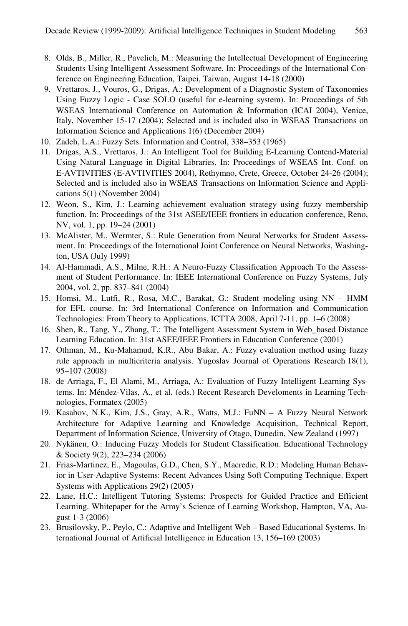- 8. Olds, B., Miller, R., Pavelich, M.: Measuring the Intellectual Development of Engineering Students Using Intelligent Assessment Software. In: Proceedings of the International Conference on Engineering Education, Taipei, Taiwan, August 14-18 (2000)
- 9. Vrettaros, J., Vouros, G., Drigas, A.: Development of a Diagnostic System of Taxonomies Using Fuzzy Logic - Case SOLO (useful for e-learning system). In: Proceedings of 5th WSEAS International Conference on Automation & Information (ICAI 2004), Venice, Italy, November 15-17 (2004); Selected and is included also in WSEAS Transactions on Information Science and Applications 1(6) (December 2004)
- 10. Zadeh, L.A.: Fuzzy Sets. Information and Control, 338–353 (1965)
- 11. Drigas, A.S., Vrettaros, J.: An Intelligent Tool for Building E-Learning Contend-Material Using Natural Language in Digital Libraries. In: Proceedings of WSEAS Int. Conf. on E-AVTIVITIES (E-AVTIVITIES 2004), Rethymno, Crete, Greece, October 24-26 (2004); Selected and is included also in WSEAS Transactions on Information Science and Applications 5(1) (November 2004)
- 12. Weon, S., Kim, J.: Learning achievement evaluation strategy using fuzzy membership function. In: Proceedings of the 31st ASEE/IEEE frontiers in education conference, Reno, NV, vol. 1, pp. 19–24 (2001)
- 13. McAlister, M., Wermter, S.: Rule Generation from Neural Networks for Student Assessment. In: Proceedings of the International Joint Conference on Neural Networks, Washington, USA (July 1999)
- 14. Al-Hammadi, A.S., Milne, R.H.: A Neuro-Fuzzy Classification Approach To the Assessment of Student Performance. In: IEEE International Conference on Fuzzy Systems, July 2004, vol. 2, pp. 837–841 (2004)
- 15. Homsi, M., Lutfi, R., Rosa, M.C., Barakat, G.: Student modeling using NN HMM for EFL course. In: 3rd International Conference on Information and Communication Technologies: From Theory to Applications, ICTTA 2008, April 7-11, pp. 1–6 (2008)
- 16. Shen, R., Tang, Y., Zhang, T.: The Intelligent Assessment System in Web\_based Distance Learning Education. In: 31st ASEE/IEEE Frontiers in Education Conference (2001)
- 17. Othman, M., Ku-Mahamud, K.R., Abu Bakar, A.: Fuzzy evaluation method using fuzzy rule approach in multicriteria analysis. Yugoslav Journal of Operations Research 18(1), 95–107 (2008)
- 18. de Arriaga, F., El Alami, M., Arriaga, A.: Evaluation of Fuzzy Intelligent Learning Systems. In: Méndez-Vilas, A., et al. (eds.) Recent Research Develoments in Learning Technologies, Formatex (2005)
- 19. Kasabov, N.K., Kim, J.S., Gray, A.R., Watts, M.J.: FuNN A Fuzzy Neural Network Architecture for Adaptive Learning and Knowledge Acquisition, Technical Report, Department of Information Science, University of Otago, Dunedin, New Zealand (1997)
- 20. Nykänen, O.: Inducing Fuzzy Models for Student Classification. Educational Technology & Society 9(2), 223–234 (2006)
- 21. Frias-Martinez, E., Magoulas, G.D., Chen, S.Y., Macredie, R.D.: Modeling Human Behavior in User-Adaptive Systems: Recent Advances Using Soft Computing Technique. Expert Systems with Applications 29(2) (2005)
- 22. Lane, H.C.: Intelligent Tutoring Systems: Prospects for Guided Practice and Efficient Learning. Whitepaper for the Army's Science of Learning Workshop, Hampton, VA, August 1-3 (2006)
- 23. Brusilovsky, P., Peylo, C.: Adaptive and Intelligent Web Based Educational Systems. International Journal of Artificial Intelligence in Education 13, 156–169 (2003)